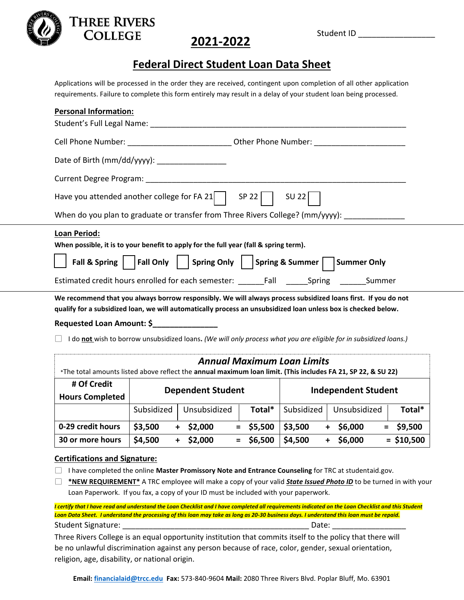

#### **THREE RIVERS COLLEGE**

### **2021-2022**

#### **Federal Direct Student Loan Data Sheet**

Applications will be processed in the order they are received, contingent upon completion of all other application requirements. Failure to complete this form entirely may result in a delay of your student loan being processed.

| <b>Personal Information:</b>                                                                                                                                                                                                    |                            |                                                                                                                   |                |                                   |                |                |
|---------------------------------------------------------------------------------------------------------------------------------------------------------------------------------------------------------------------------------|----------------------------|-------------------------------------------------------------------------------------------------------------------|----------------|-----------------------------------|----------------|----------------|
| Student's Full Legal Name:                                                                                                                                                                                                      |                            |                                                                                                                   |                |                                   |                |                |
| Cell Phone Number: ________________________________Other Phone Number: ____________________________                                                                                                                             |                            |                                                                                                                   |                |                                   |                |                |
| Date of Birth (mm/dd/yyyy):                                                                                                                                                                                                     |                            |                                                                                                                   |                |                                   |                |                |
|                                                                                                                                                                                                                                 |                            |                                                                                                                   |                |                                   |                |                |
| Have you attended another college for FA 21 $\vert$                                                                                                                                                                             |                            |                                                                                                                   | SP 22          | SU 22                             |                |                |
| When do you plan to graduate or transfer from Three Rivers College? (mm/yyyy):                                                                                                                                                  |                            |                                                                                                                   |                |                                   |                |                |
| <b>Loan Period:</b>                                                                                                                                                                                                             |                            |                                                                                                                   |                |                                   |                |                |
| When possible, it is to your benefit to apply for the full year (fall & spring term).                                                                                                                                           |                            |                                                                                                                   |                |                                   |                |                |
|                                                                                                                                                                                                                                 |                            | Fall & Spring $\vert \vert$   Fall Only $\vert \vert$   Spring Only     Spring & Summer $\vert \vert$ Summer Only |                |                                   |                |                |
| Estimated credit hours enrolled for each semester: _______Fall _______Spring _______ Summer                                                                                                                                     |                            |                                                                                                                   |                |                                   |                |                |
| We recommend that you always borrow responsibly. We will always process subsidized loans first. If you do not<br>qualify for a subsidized loan, we will automatically process an unsubsidized loan unless box is checked below. |                            |                                                                                                                   |                |                                   |                |                |
| Requested Loan Amount: \$                                                                                                                                                                                                       |                            |                                                                                                                   |                |                                   |                |                |
| I do not wish to borrow unsubsidized loans. (We will only process what you are eligible for in subsidized loans.)                                                                                                               |                            |                                                                                                                   |                |                                   |                |                |
|                                                                                                                                                                                                                                 |                            |                                                                                                                   |                | <b>Annual Maximum Loan Limits</b> |                |                |
| *The total amounts listed above reflect the annual maximum loan limit. (This includes FA 21, SP 22, & SU 22)                                                                                                                    |                            |                                                                                                                   |                |                                   |                |                |
| # Of Credit                                                                                                                                                                                                                     | <b>Independent Student</b> |                                                                                                                   |                |                                   |                |                |
| <b>Hours Completed</b>                                                                                                                                                                                                          | <b>Dependent Student</b>   |                                                                                                                   |                |                                   |                |                |
|                                                                                                                                                                                                                                 | Subsidized                 | Unsubsidized                                                                                                      | Total*         | Subsidized                        | Unsubsidized   | Total*         |
| 0-29 credit hours                                                                                                                                                                                                               | \$3,500                    | $+$ \$2,000                                                                                                       | $=$ \$5,500    | \$3,500                           | $+$ \$6,000    | \$9,500<br>$=$ |
| 30 or more hours                                                                                                                                                                                                                | \$4,500                    | \$2,000<br>$\ddot{}$                                                                                              | \$6,500<br>$=$ | \$4,500                           | \$6,000<br>$+$ | $=$ \$10,500   |
| <b>Certifications and Signature:</b>                                                                                                                                                                                            |                            |                                                                                                                   |                |                                   |                |                |

I have completed the online **Master Promissory Note and Entrance Counseling** for TRC at studentaid.gov.

**\*NEW REQUIREMENT\*** A TRC employee will make a copy of your valid *State Issued Photo ID* to be turned in with your Loan Paperwork. If you fax, a copy of your ID must be included with your paperwork.

*I certify that I have read and understand the Loan Checklist and I have completed all requirements indicated on the Loan Checklist and this Student Loan Data Sheet. I understand the processing of this loan may take as long as 20-30 business days. I understand this loan must be repaid.* Student Signature: \_\_\_\_\_\_\_\_\_\_\_\_\_\_\_\_\_\_\_\_\_\_\_\_\_\_\_\_\_\_\_\_\_\_\_\_\_\_\_\_\_\_\_ Date: \_\_\_\_\_\_\_\_\_\_\_\_\_\_\_\_\_

Three Rivers College is an equal opportunity institution that commits itself to the policy that there will be no unlawful discrimination against any person because of race, color, gender, sexual orientation, religion, age, disability, or national origin.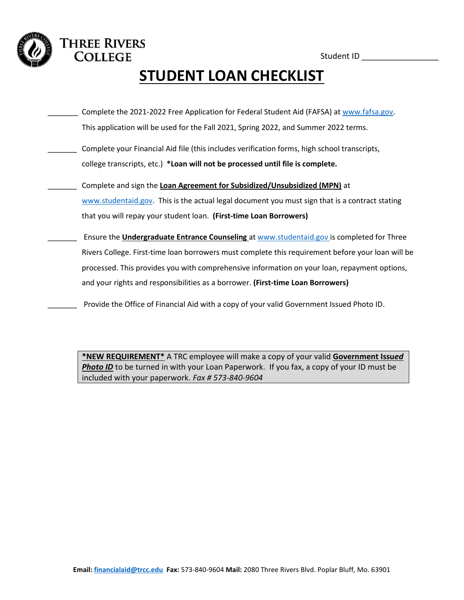Student ID \_\_\_\_\_\_\_\_\_\_\_\_\_\_\_\_\_\_

# **STUDENT LOAN CHECKLIST**

- Complete the 2021-2022 Free Application for Federal Student Aid (FAFSA) at [www.fafsa.gov.](http://www.fafsa.gov/) This application will be used for the Fall 2021, Spring 2022, and Summer 2022 terms.
- Complete your Financial Aid file (this includes verification forms, high school transcripts, college transcripts, etc.) **\*Loan will not be processed until file is complete.**

**THREE RIVERS COLLEGE** 

- \_\_\_\_\_\_\_ Complete and sign the **Loan Agreement for Subsidized/Unsubsidized (MPN)** at [www.studentaid.gov.](http://www.studentaid.gov/) This is the actual legal document you must sign that is a contract stating that you will repay your student loan. **(First-time Loan Borrowers)**
- \_\_\_\_\_\_\_ Ensure the **Undergraduate Entrance Counseling** at [www.studentaid.gov](http://www.studentaid.gov/) is completed for Three Rivers College. First-time loan borrowers must complete this requirement before your loan will be processed. This provides you with comprehensive information on your loan, repayment options, and your rights and responsibilities as a borrower. **(First-time Loan Borrowers)**
	- Provide the Office of Financial Aid with a copy of your valid Government Issued Photo ID.

**\*NEW REQUIREMENT\*** A TRC employee will make a copy of your valid **Government Issu***ed*  **Photo ID** to be turned in with your Loan Paperwork. If you fax, a copy of your ID must be included with your paperwork. *Fax # 573-840-9604*